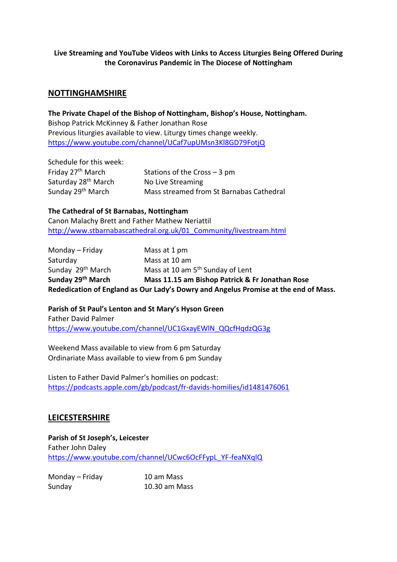#### **Live Streaming and YouTube Videos with Links to Access Liturgies Being Offered During the Coronavirus Pandemic in The Diocese of Nottingham**

## **NOTTINGHAMSHIRE**

**The Private Chapel of the Bishop of Nottingham, Bishop's House, Nottingham.** Bishop Patrick McKinney & Father Jonathan Rose Previous liturgies available to view. Liturgy times change weekly. <https://www.youtube.com/channel/UCaf7upUMsn3Kl8GD79FotjQ>

Schedule for this week:<br>Friday 27<sup>th</sup> March Stations of the Cross – 3 pm Saturday 28<sup>th</sup> March No Live Streaming Sunday 29<sup>th</sup> March Mass streamed from St Barnabas Cathedral

#### **The Cathedral of St Barnabas, Nottingham**

Canon Malachy Brett and Father Mathew Neriattil [http://www.stbarnabascathedral.org.uk/01\\_Community/livestream.html](http://www.stbarnabascathedral.org.uk/01_Community/livestream.html)

| Rededication of England as Our Lady's Dowry and Angelus Promise at the end of Mass. |                                                 |  |
|-------------------------------------------------------------------------------------|-------------------------------------------------|--|
| Sunday 29 <sup>th</sup> March                                                       | Mass 11.15 am Bishop Patrick & Fr Jonathan Rose |  |
| Sunday 29 <sup>th</sup> March                                                       | Mass at 10 am 5 <sup>th</sup> Sunday of Lent    |  |
| Saturday                                                                            | Mass at 10 am                                   |  |
| Monday – Friday                                                                     | Mass at 1 pm                                    |  |

**Parish of St Paul's Lenton and St Mary's Hyson Green** Father David Palmer [https://www.youtube.com/channel/UC1GxayEWlN\\_QQcfHqdzQG3g](https://www.youtube.com/channel/UC1GxayEWlN_QQcfHqdzQG3g)

Weekend Mass available to view from 6 pm Saturday Ordinariate Mass available to view from 6 pm Sunday

Listen to Father David Palmer's homilies on podcast: <https://podcasts.apple.com/gb/podcast/fr-davids-homilies/id1481476061>

### **LEICESTERSHIRE**

**Parish of St Joseph's, Leicester** Father John Daley [https://www.youtube.com/channel/UCwc6OcFFypL\\_YF-feaNXqlQ](https://www.youtube.com/channel/UCwc6OcFFypL_YF-feaNXqlQ)

| Monday – Friday | 10 am Mass    |
|-----------------|---------------|
| Sunday          | 10.30 am Mass |